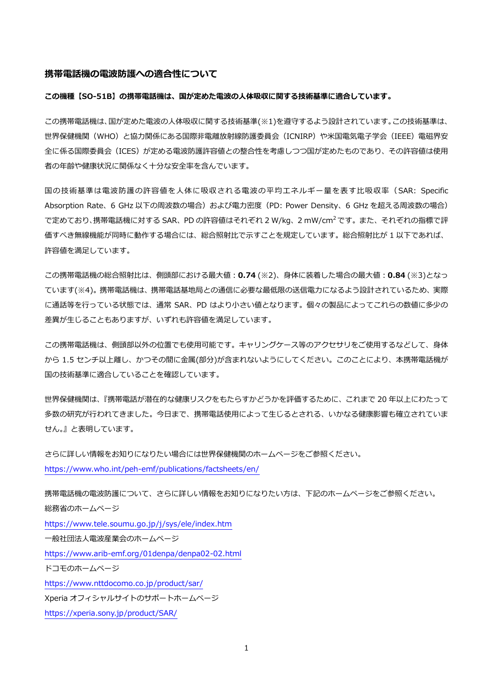#### **携帯電話機の電波防護への適合性について**

### **この機種【SO-51B】の携帯電話機は、国が定めた電波の人体吸収に関する技術基準に適合しています。**

この携帯電話機は、国が定めた電波の人体吸収に関する技術基準(※1)を遵守するよう設計されています。この技術基準は、 世界保健機関(WHO)と協力関係にある国際非電離放射線防護委員会(ICNIRP)や米国電気電子学会(IEEE)電磁界安 全に係る国際委員会(ICES)が定める電波防護許容値との整合性を考慮しつつ国が定めたものであり、その許容値は使用 者の年齢や健康状況に関係なく十分な安全率を含んでいます。

国の技術基準は電波防護の許容値を人体に吸収される電波の平均エネルギー量を表す比吸収率(SAR: Specific Absorption Rate、6 GHz 以下の周波数の場合)および電力密度 (PD: Power Density、6 GHz を超える周波数の場合) で定めており、携帯電話機に対する SAR、PD の許容値はそれぞれ 2 W/kg、2 mW/cm<sup>2</sup> です。 また、 それぞれの指標で評 価すべき無線機能が同時に動作する場合には、総合照射比で示すことを規定しています。総合照射比が 1 以下であれば、 許容値を満足しています。

この携帯電話機の総合照射比は、側頭部における最大値:**0.74** (※2)、身体に装着した場合の最大値:**0.84** (※3)となっ ています(※4)。携帯電話機は、携帯電話基地局との通信に必要な最低限の送信電力になるよう設計されているため、実際 に通話等を行っている状態では、通常 SAR、PD はより小さい値となります。個々の製品によってこれらの数値に多少の 差異が生じることもありますが、いずれも許容値を満足しています。

この携帯電話機は、側頭部以外の位置でも使用可能です。キャリングケース等のアクセサリをご使用するなどして、身体 から 1.5 センチ以上離し、かつその間に金属(部分)が含まれないようにしてください。このことにより、本携帯電話機が 国の技術基準に適合していることを確認しています。

世界保健機関は、『携帯電話が潜在的な健康リスクをもたらすかどうかを評価するために、これまで 20 年以上にわたって 多数の研究が行われてきました。今日まで、携帯電話使用によって生じるとされる、いかなる健康影響も確立されていま せん。』と表明しています。

さらに詳しい情報をお知りになりたい場合には世界保健機関のホームページをご参照ください。 https://www.who.int/peh-[emf/publications/factsheets/en/](https://www.who.int/peh-emf/publications/factsheets/en/)

携帯電話機の電波防護について、さらに詳しい情報をお知りになりたい方は、下記のホームページをご参照ください。 総務省のホームページ <https://www.tele.soumu.go.jp/j/sys/ele/index.htm> 一般社団法人電波産業会のホームページ https://www.arib-[emf.org/01denpa/denpa02](https://www.arib-emf.org/01denpa/denpa02-02.html)-02.html ドコモのホームページ <https://www.nttdocomo.co.jp/product/sar/> Xperia オフィシャルサイトのサポートホームページ <https://xperia.sony.jp/product/SAR/>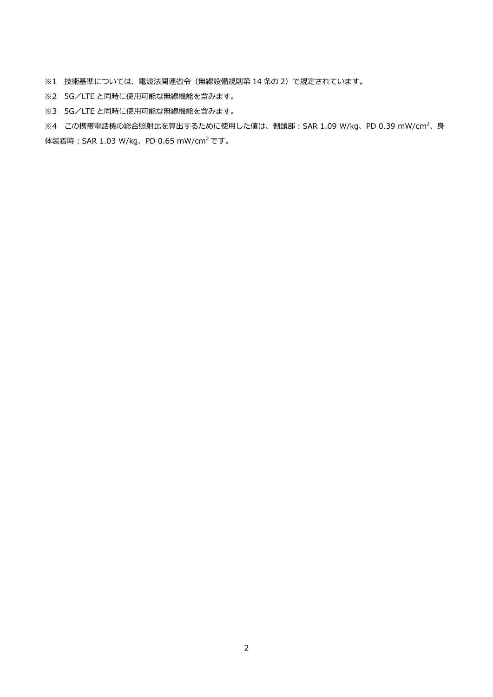※1 技術基準については、電波法関連省令(無線設備規則第 14 条の 2)で規定されています。

- ※2 5G/LTE と同時に使用可能な無線機能を含みます。
- ※3 5G/LTE と同時に使用可能な無線機能を含みます。

※4 この携帯電話機の総合照射比を算出するために使用した値は、側頭部:SAR 1.09 W/kg、PD 0.39 mW/cm<sup>2</sup>、身 体装着時:SAR 1.03 W/kg、PD 0.65 mW/cm<sup>2</sup> です。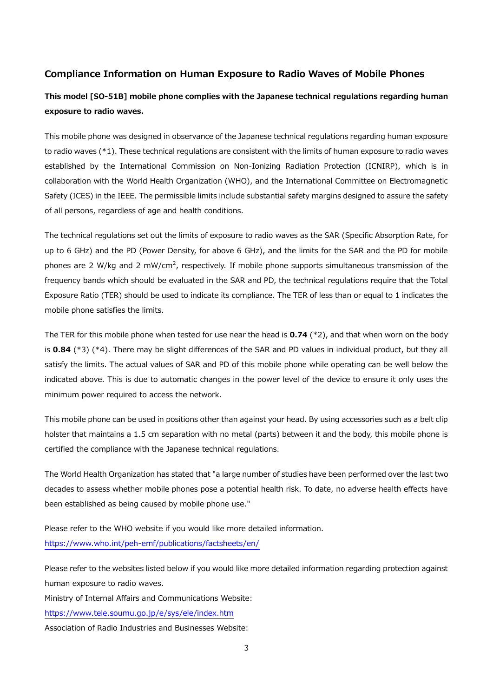## **Compliance Information on Human Exposure to Radio Waves of Mobile Phones**

# **This model [SO-51B] mobile phone complies with the Japanese technical regulations regarding human exposure to radio waves.**

This mobile phone was designed in observance of the Japanese technical regulations regarding human exposure to radio waves (\*1). These technical regulations are consistent with the limits of human exposure to radio waves established by the International Commission on Non-Ionizing Radiation Protection (ICNIRP), which is in collaboration with the World Health Organization (WHO), and the International Committee on Electromagnetic Safety (ICES) in the IEEE. The permissible limits include substantial safety margins designed to assure the safety of all persons, regardless of age and health conditions.

The technical regulations set out the limits of exposure to radio waves as the SAR (Specific Absorption Rate, for up to 6 GHz) and the PD (Power Density, for above 6 GHz), and the limits for the SAR and the PD for mobile phones are 2 W/kg and 2 mW/cm<sup>2</sup>, respectively. If mobile phone supports simultaneous transmission of the frequency bands which should be evaluated in the SAR and PD, the technical regulations require that the Total Exposure Ratio (TER) should be used to indicate its compliance. The TER of less than or equal to 1 indicates the mobile phone satisfies the limits.

The TER for this mobile phone when tested for use near the head is **0.74** (\*2), and that when worn on the body is **0.84** (\*3) (\*4). There may be slight differences of the SAR and PD values in individual product, but they all satisfy the limits. The actual values of SAR and PD of this mobile phone while operating can be well below the indicated above. This is due to automatic changes in the power level of the device to ensure it only uses the minimum power required to access the network.

This mobile phone can be used in positions other than against your head. By using accessories such as a belt clip holster that maintains a 1.5 cm separation with no metal (parts) between it and the body, this mobile phone is certified the compliance with the Japanese technical regulations.

The World Health Organization has stated that "a large number of studies have been performed over the last two decades to assess whether mobile phones pose a potential health risk. To date, no adverse health effects have been established as being caused by mobile phone use."

Please refer to the WHO website if you would like more detailed information. https://www.who.int/peh-[emf/publications/factsheets/en/](https://www.who.int/peh-emf/publications/factsheets/en/)

Please refer to the websites listed below if you would like more detailed information regarding protection against human exposure to radio waves.

Ministry of Internal Affairs and Communications Website:

<https://www.tele.soumu.go.jp/e/sys/ele/index.htm>

Association of Radio Industries and Businesses Website: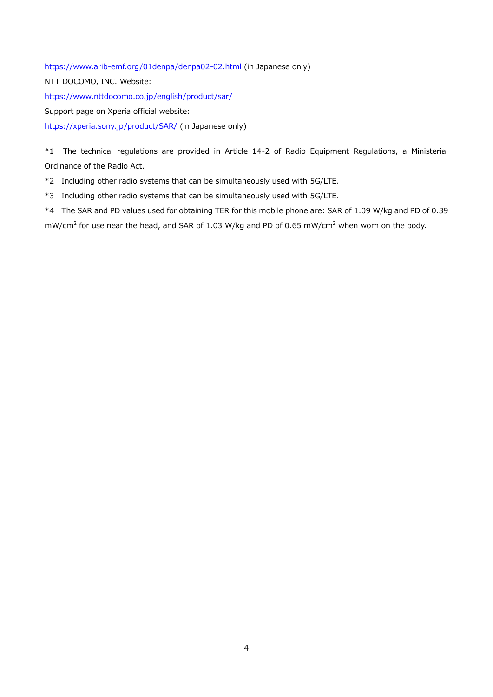https://www.arib-[emf.org/01denpa/denpa02](https://www.arib-emf.org/01denpa/denpa02-02.html)-02.html (in Japanese only)

NTT DOCOMO, INC. Website:

<https://www.nttdocomo.co.jp/english/product/sar/>

Support page on Xperia official website:

<https://xperia.sony.jp/product/SAR/> (in Japanese only)

\*1 The technical regulations are provided in Article 14-2 of Radio Equipment Regulations, a Ministerial Ordinance of the Radio Act.

\*2 Including other radio systems that can be simultaneously used with 5G/LTE.

\*3 Including other radio systems that can be simultaneously used with 5G/LTE.

\*4 The SAR and PD values used for obtaining TER for this mobile phone are: SAR of 1.09 W/kg and PD of 0.39

mW/cm<sup>2</sup> for use near the head, and SAR of 1.03 W/kg and PD of 0.65 mW/cm<sup>2</sup> when worn on the body.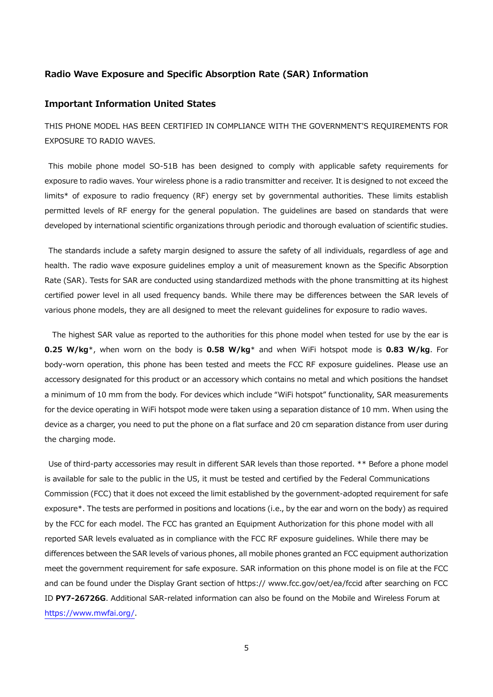## **Radio Wave Exposure and Specific Absorption Rate (SAR) Information**

## **Important Information United States**

THIS PHONE MODEL HAS BEEN CERTIFIED IN COMPLIANCE WITH THE GOVERNMENT'S REQUIREMENTS FOR EXPOSURE TO RADIO WAVES.

This mobile phone model SO-51B has been designed to comply with applicable safety requirements for exposure to radio waves. Your wireless phone is a radio transmitter and receiver. It is designed to not exceed the limits\* of exposure to radio frequency (RF) energy set by governmental authorities. These limits establish permitted levels of RF energy for the general population. The guidelines are based on standards that were developed by international scientific organizations through periodic and thorough evaluation of scientific studies.

The standards include a safety margin designed to assure the safety of all individuals, regardless of age and health. The radio wave exposure guidelines employ a unit of measurement known as the Specific Absorption Rate (SAR). Tests for SAR are conducted using standardized methods with the phone transmitting at its highest certified power level in all used frequency bands. While there may be differences between the SAR levels of various phone models, they are all designed to meet the relevant guidelines for exposure to radio waves.

The highest SAR value as reported to the authorities for this phone model when tested for use by the ear is **0.25 W/kg**\*, when worn on the body is **0.58 W/kg**\* and when WiFi hotspot mode is **0.83 W/kg**. For body-worn operation, this phone has been tested and meets the FCC RF exposure guidelines. Please use an accessory designated for this product or an accessory which contains no metal and which positions the handset a minimum of 10 mm from the body. For devices which include "WiFi hotspot" functionality, SAR measurements for the device operating in WiFi hotspot mode were taken using a separation distance of 10 mm. When using the device as a charger, you need to put the phone on a flat surface and 20 cm separation distance from user during the charging mode.

Use of third-party accessories may result in different SAR levels than those reported. \*\* Before a phone model is available for sale to the public in the US, it must be tested and certified by the Federal Communications Commission (FCC) that it does not exceed the limit established by the government-adopted requirement for safe exposure\*. The tests are performed in positions and locations (i.e., by the ear and worn on the body) as required by the FCC for each model. The FCC has granted an Equipment Authorization for this phone model with all reported SAR levels evaluated as in compliance with the FCC RF exposure guidelines. While there may be differences between the SAR levels of various phones, all mobile phones granted an FCC equipment authorization meet the government requirement for safe exposure. SAR information on this phone model is on file at the FCC and can be found under the Display Grant section of https:// www.fcc.gov/oet/ea/fccid after searching on FCC ID **PY7-26726G**. Additional SAR-related information can also be found on the Mobile and Wireless Forum at [https://www.mwfai.org/.](https://www.mwfai.org/)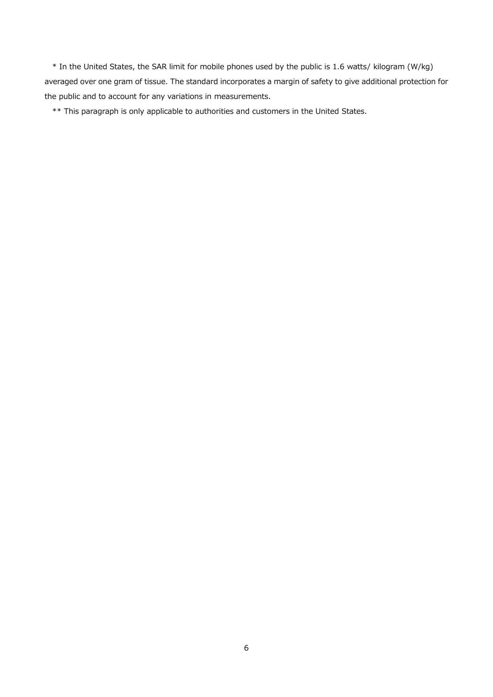\* In the United States, the SAR limit for mobile phones used by the public is 1.6 watts/ kilogram (W/kg) averaged over one gram of tissue. The standard incorporates a margin of safety to give additional protection for the public and to account for any variations in measurements.

\*\* This paragraph is only applicable to authorities and customers in the United States.